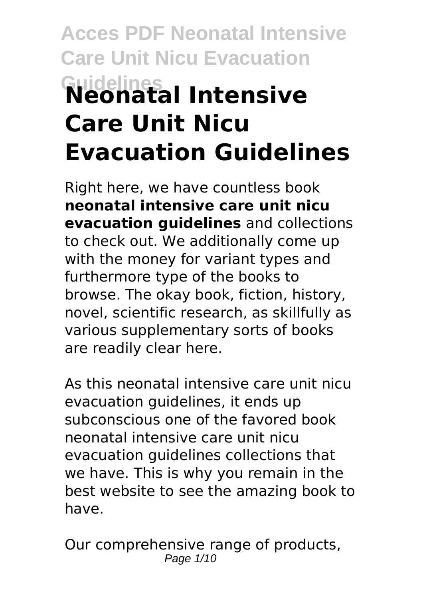# **Acces PDF Neonatal Intensive Care Unit Nicu Evacuation Guidelines Neonatal Intensive Care Unit Nicu Evacuation Guidelines**

Right here, we have countless book **neonatal intensive care unit nicu evacuation guidelines** and collections to check out. We additionally come up with the money for variant types and furthermore type of the books to browse. The okay book, fiction, history, novel, scientific research, as skillfully as various supplementary sorts of books are readily clear here.

As this neonatal intensive care unit nicu evacuation guidelines, it ends up subconscious one of the favored book neonatal intensive care unit nicu evacuation guidelines collections that we have. This is why you remain in the best website to see the amazing book to have.

Our comprehensive range of products, Page 1/10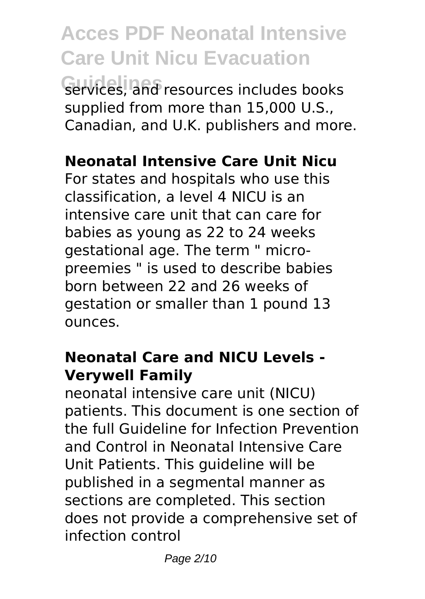**Acces PDF Neonatal Intensive Care Unit Nicu Evacuation Guidelines** services, and resources includes books supplied from more than 15,000 U.S., Canadian, and U.K. publishers and more.

#### **Neonatal Intensive Care Unit Nicu**

For states and hospitals who use this classification, a level 4 NICU is an intensive care unit that can care for babies as young as 22 to 24 weeks gestational age. The term " micropreemies " is used to describe babies born between 22 and 26 weeks of gestation or smaller than 1 pound 13 ounces.

#### **Neonatal Care and NICU Levels - Verywell Family**

neonatal intensive care unit (NICU) patients. This document is one section of the full Guideline for Infection Prevention and Control in Neonatal Intensive Care Unit Patients. This guideline will be published in a segmental manner as sections are completed. This section does not provide a comprehensive set of infection control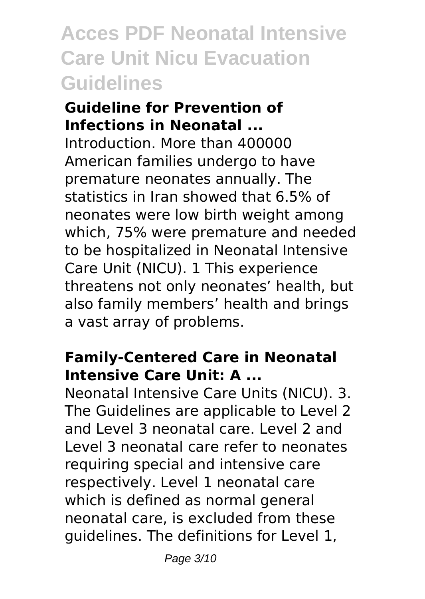#### **Guideline for Prevention of Infections in Neonatal ...**

Introduction. More than 400000 American families undergo to have premature neonates annually. The statistics in Iran showed that 6.5% of neonates were low birth weight among which, 75% were premature and needed to be hospitalized in Neonatal Intensive Care Unit (NICU). 1 This experience threatens not only neonates' health, but also family members' health and brings a vast array of problems.

#### **Family-Centered Care in Neonatal Intensive Care Unit: A ...**

Neonatal Intensive Care Units (NICU). 3. The Guidelines are applicable to Level 2 and Level 3 neonatal care. Level 2 and Level 3 neonatal care refer to neonates requiring special and intensive care respectively. Level 1 neonatal care which is defined as normal general neonatal care, is excluded from these guidelines. The definitions for Level 1,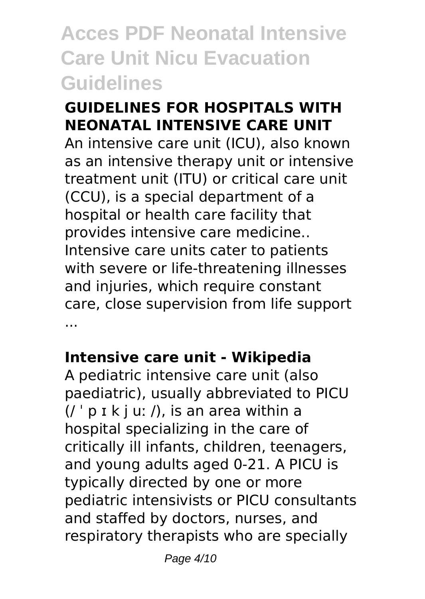#### **GUIDELINES FOR HOSPITALS WITH NEONATAL INTENSIVE CARE UNIT**

An intensive care unit (ICU), also known as an intensive therapy unit or intensive treatment unit (ITU) or critical care unit (CCU), is a special department of a hospital or health care facility that provides intensive care medicine.. Intensive care units cater to patients with severe or life-threatening illnesses and injuries, which require constant care, close supervision from life support ...

#### **Intensive care unit - Wikipedia**

A pediatric intensive care unit (also paediatric), usually abbreviated to PICU  $($  $/$   $\cdot$   $p$   $\in$   $k$   $\in$   $u$ :  $/$ ), is an area within a hospital specializing in the care of critically ill infants, children, teenagers, and young adults aged 0-21. A PICU is typically directed by one or more pediatric intensivists or PICU consultants and staffed by doctors, nurses, and respiratory therapists who are specially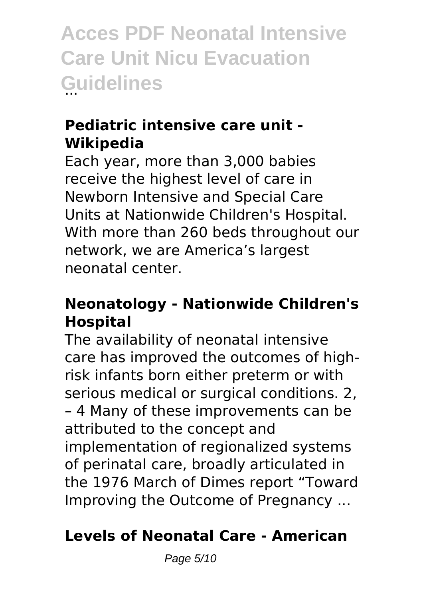#### **Pediatric intensive care unit - Wikipedia**

Each year, more than 3,000 babies receive the highest level of care in Newborn Intensive and Special Care Units at Nationwide Children's Hospital. With more than 260 beds throughout our network, we are America's largest neonatal center.

#### **Neonatology - Nationwide Children's Hospital**

The availability of neonatal intensive care has improved the outcomes of highrisk infants born either preterm or with serious medical or surgical conditions. 2, – 4 Many of these improvements can be attributed to the concept and implementation of regionalized systems of perinatal care, broadly articulated in the 1976 March of Dimes report "Toward Improving the Outcome of Pregnancy ...

#### **Levels of Neonatal Care - American**

Page 5/10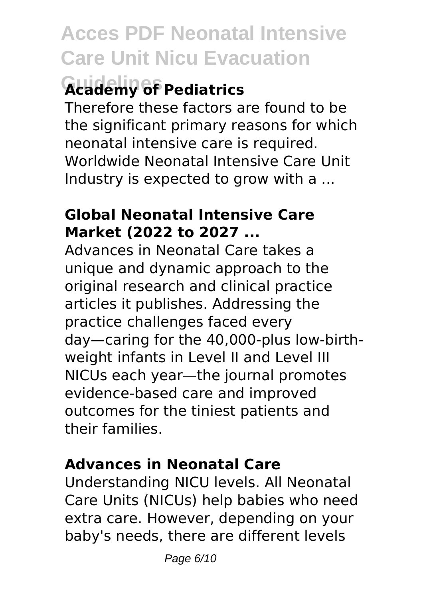# **Guidelines Academy of Pediatrics**

Therefore these factors are found to be the significant primary reasons for which neonatal intensive care is required. Worldwide Neonatal Intensive Care Unit Industry is expected to grow with a ...

#### **Global Neonatal Intensive Care Market (2022 to 2027 ...**

Advances in Neonatal Care takes a unique and dynamic approach to the original research and clinical practice articles it publishes. Addressing the practice challenges faced every day—caring for the 40,000-plus low-birthweight infants in Level II and Level III NICUs each year—the journal promotes evidence-based care and improved outcomes for the tiniest patients and their families.

#### **Advances in Neonatal Care**

Understanding NICU levels. All Neonatal Care Units (NICUs) help babies who need extra care. However, depending on your baby's needs, there are different levels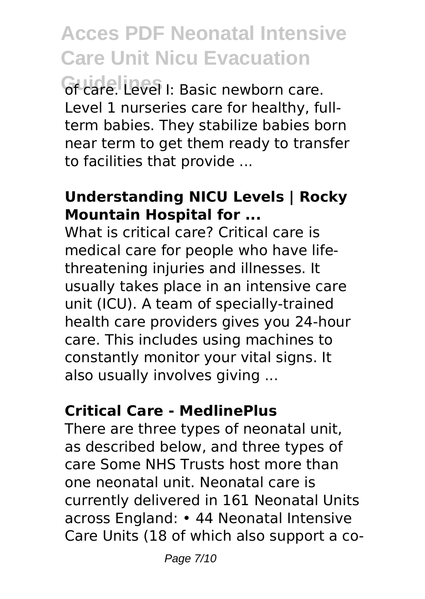**Guide Level I:** Basic newborn care. Level 1 nurseries care for healthy, fullterm babies. They stabilize babies born near term to get them ready to transfer to facilities that provide ...

#### **Understanding NICU Levels | Rocky Mountain Hospital for ...**

What is critical care? Critical care is medical care for people who have lifethreatening injuries and illnesses. It usually takes place in an intensive care unit (ICU). A team of specially-trained health care providers gives you 24-hour care. This includes using machines to constantly monitor your vital signs. It also usually involves giving ...

#### **Critical Care - MedlinePlus**

There are three types of neonatal unit, as described below, and three types of care Some NHS Trusts host more than one neonatal unit. Neonatal care is currently delivered in 161 Neonatal Units across England: • 44 Neonatal Intensive Care Units (18 of which also support a co-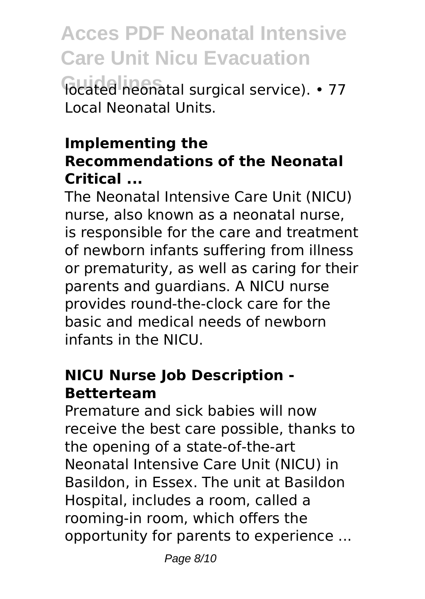**Focated neonatal surgical service).** • 77 Local Neonatal Units.

#### **Implementing the Recommendations of the Neonatal Critical ...**

The Neonatal Intensive Care Unit (NICU) nurse, also known as a neonatal nurse, is responsible for the care and treatment of newborn infants suffering from illness or prematurity, as well as caring for their parents and guardians. A NICU nurse provides round-the-clock care for the basic and medical needs of newborn infants in the NICU.

#### **NICU Nurse Job Description - Betterteam**

Premature and sick babies will now receive the best care possible, thanks to the opening of a state-of-the-art Neonatal Intensive Care Unit (NICU) in Basildon, in Essex. The unit at Basildon Hospital, includes a room, called a rooming-in room, which offers the opportunity for parents to experience ...